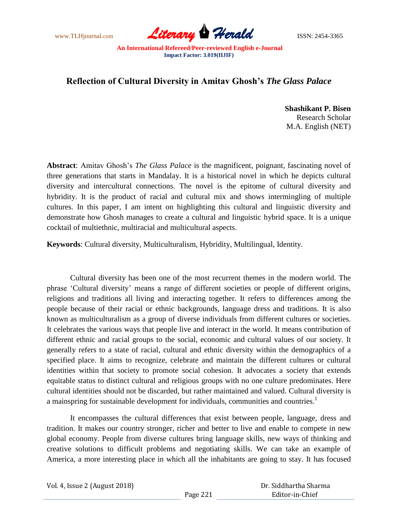

## **Reflection of Cultural Diversity in Amitav Ghosh's** *The Glass Palace*

**Shashikant P. Bisen** Research Scholar M.A. English (NET)

**Abstract**: Amitav Ghosh"s *The Glass Palace* is the magnificent, poignant, fascinating novel of three generations that starts in Mandalay. It is a historical novel in which he depicts cultural diversity and intercultural connections. The novel is the epitome of cultural diversity and hybridity. It is the product of racial and cultural mix and shows intermingling of multiple cultures. In this paper, I am intent on highlighting this cultural and linguistic diversity and demonstrate how Ghosh manages to create a cultural and linguistic hybrid space. It is a unique cocktail of multiethnic, multiracial and multicultural aspects.

**Keywords**: Cultural diversity, Multiculturalism, Hybridity, Multilingual, Identity.

Cultural diversity has been one of the most recurrent themes in the modern world. The phrase "Cultural diversity" means a range of different societies or people of different origins, religions and traditions all living and interacting together. It refers to differences among the people because of their racial or ethnic backgrounds, language dress and traditions. It is also known as multiculturalism as a group of diverse individuals from different cultures or societies. It celebrates the various ways that people live and interact in the world. It means contribution of different ethnic and racial groups to the social, economic and cultural values of our society. It generally refers to a state of racial, cultural and ethnic diversity within the demographics of a specified place. It aims to recognize, celebrate and maintain the different cultures or cultural identities within that society to promote social cohesion. It advocates a society that extends equitable status to distinct cultural and religious groups with no one culture predominates. Here cultural identities should not be discarded, but rather maintained and valued. Cultural diversity is a mainspring for sustainable development for individuals, communities and countries.<sup>1</sup>

It encompasses the cultural differences that exist between people, language, dress and tradition. It makes our country stronger, richer and better to live and enable to compete in new global economy. People from diverse cultures bring language skills, new ways of thinking and creative solutions to difficult problems and negotiating skills. We can take an example of America, a more interesting place in which all the inhabitants are going to stay. It has focused

| Vol. 4, Issue 2 (August 2018) |          | Dr. Siddhartha Sharma |
|-------------------------------|----------|-----------------------|
|                               | Page 221 | Editor-in-Chief       |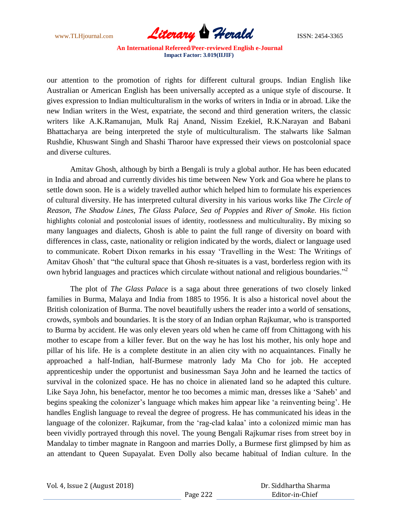

our attention to the promotion of rights for different cultural groups. Indian English like Australian or American English has been universally accepted as a unique style of discourse. It gives expression to Indian multiculturalism in the works of writers in India or in abroad. Like the new Indian writers in the West, expatriate, the second and third generation writers, the classic writers like A.K.Ramanujan, Mulk Raj Anand, Nissim Ezekiel, R.K.Narayan and Babani Bhattacharya are being interpreted the style of multiculturalism. The stalwarts like Salman Rushdie, Khuswant Singh and Shashi Tharoor have expressed their views on postcolonial space and diverse cultures.

Amitav Ghosh, although by birth a Bengali is truly a global author. He has been educated in India and abroad and currently divides his time between New York and Goa where he plans to settle down soon. He is a widely travelled author which helped him to formulate his experiences of cultural diversity. He has interpreted cultural diversity in his various works like *The Circle of Reason, The Shadow Lines, The Glass Palace, Sea of Poppies* and *River of Smoke.* His fiction highlights colonial and postcolonial issues of identity, rootlessness and multiculturality**.** By mixing so many languages and dialects, Ghosh is able to paint the full range of diversity on board with differences in class, caste, nationality or religion indicated by the words, dialect or language used to communicate. Robert Dixon remarks in his essay "Travelling in the West: The Writings of Amitav Ghosh' that "the cultural space that Ghosh re-situates is a vast, borderless region with its own hybrid languages and practices which circulate without national and religious boundaries."<sup>2</sup>

The plot of *The Glass Palace* is a saga about three generations of two closely linked families in Burma, Malaya and India from 1885 to 1956. It is also a historical novel about the British colonization of Burma. The novel beautifully ushers the reader into a world of sensations, crowds, symbols and boundaries. It is the story of an Indian orphan Rajkumar, who is transported to Burma by accident. He was only eleven years old when he came off from Chittagong with his mother to escape from a killer fever. But on the way he has lost his mother, his only hope and pillar of his life. He is a complete destitute in an alien city with no acquaintances. Finally he approached a half-Indian, half-Burmese matronly lady Ma Cho for job. He accepted apprenticeship under the opportunist and businessman Saya John and he learned the tactics of survival in the colonized space. He has no choice in alienated land so he adapted this culture. Like Saya John, his benefactor, mentor he too becomes a mimic man, dresses like a "Saheb" and begins speaking the colonizer's language which makes him appear like 'a reinventing being'. He handles English language to reveal the degree of progress. He has communicated his ideas in the language of the colonizer. Rajkumar, from the 'rag-clad kalaa' into a colonized mimic man has been vividly portrayed through this novel. The young Bengali Rajkumar rises from street boy in Mandalay to timber magnate in Rangoon and marries Dolly, a Burmese first glimpsed by him as an attendant to Queen Supayalat. Even Dolly also became habitual of Indian culture. In the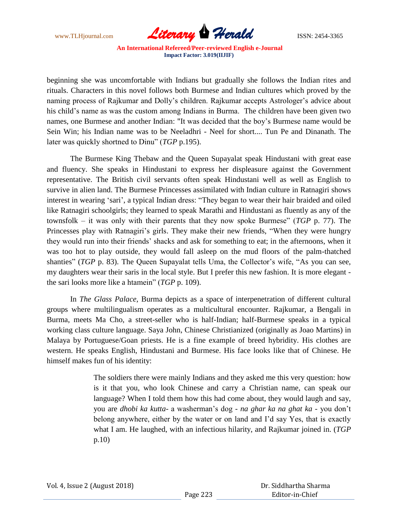

beginning she was uncomfortable with Indians but gradually she follows the Indian rites and rituals. Characters in this novel follows both Burmese and Indian cultures which proved by the naming process of Rajkumar and Dolly's children. Rajkumar accepts Astrologer's advice about his child's name as was the custom among Indians in Burma. The children have been given two names, one Burmese and another Indian: "It was decided that the boy"s Burmese name would be Sein Win; his Indian name was to be Neeladhri - Neel for short.... Tun Pe and Dinanath. The later was quickly shortned to Dinu" (*TGP* p.195).

The Burmese King Thebaw and the Queen Supayalat speak Hindustani with great ease and fluency. She speaks in Hindustani to express her displeasure against the Government representative. The British civil servants often speak Hindustani well as well as English to survive in alien land. The Burmese Princesses assimilated with Indian culture in Ratnagiri shows interest in wearing "sari", a typical Indian dress: "They began to wear their hair braided and oiled like Ratnagiri schoolgirls; they learned to speak Marathi and Hindustani as fluently as any of the townsfolk – it was only with their parents that they now spoke Burmese" (*TGP* p. 77). The Princesses play with Ratnagiri's girls. They make their new friends, "When they were hungry they would run into their friends" shacks and ask for something to eat; in the afternoons, when it was too hot to play outside, they would fall asleep on the mud floors of the palm-thatched shanties" (*TGP* p. 83). The Queen Supayalat tells Uma, the Collector's wife, "As you can see, my daughters wear their saris in the local style. But I prefer this new fashion. It is more elegant the sari looks more like a htamein" (*TGP* p. 109).

In *The Glass Palace*, Burma depicts as a space of interpenetration of different cultural groups where multilingualism operates as a multicultural encounter. Rajkumar, a Bengali in Burma, meets Ma Cho, a street-seller who is half-Indian; half-Burmese speaks in a typical working class culture language. Saya John, Chinese Christianized (originally as Joao Martins) in Malaya by Portuguese/Goan priests. He is a fine example of breed hybridity. His clothes are western. He speaks English, Hindustani and Burmese. His face looks like that of Chinese. He himself makes fun of his identity:

> The soldiers there were mainly Indians and they asked me this very question: how is it that you, who look Chinese and carry a Christian name, can speak our language? When I told them how this had come about, they would laugh and say, you are *dhobi ka kutta*- a washerman"s dog - *na ghar ka na ghat ka* - you don"t belong anywhere, either by the water or on land and I"d say Yes, that is exactly what I am. He laughed, with an infectious hilarity, and Rajkumar joined in. (*TGP* p.10)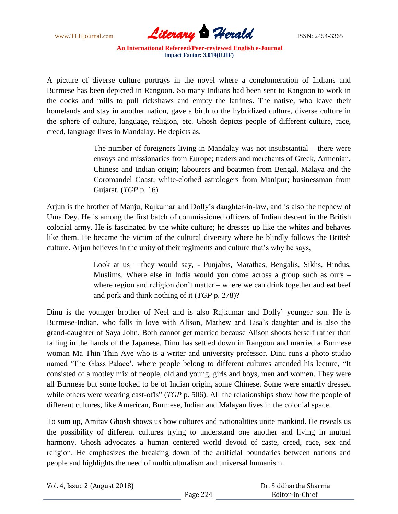

A picture of diverse culture portrays in the novel where a conglomeration of Indians and Burmese has been depicted in Rangoon. So many Indians had been sent to Rangoon to work in the docks and mills to pull rickshaws and empty the latrines. The native, who leave their homelands and stay in another nation, gave a birth to the hybridized culture, diverse culture in the sphere of culture, language, religion, etc. Ghosh depicts people of different culture, race, creed, language lives in Mandalay. He depicts as,

> The number of foreigners living in Mandalay was not insubstantial – there were envoys and missionaries from Europe; traders and merchants of Greek, Armenian, Chinese and Indian origin; labourers and boatmen from Bengal, Malaya and the Coromandel Coast; white-clothed astrologers from Manipur; businessman from Gujarat. (*TGP* p. 16)

Arjun is the brother of Manju, Rajkumar and Dolly"s daughter-in-law, and is also the nephew of Uma Dey. He is among the first batch of commissioned officers of Indian descent in the British colonial army. He is fascinated by the white culture; he dresses up like the whites and behaves like them. He became the victim of the cultural diversity where he blindly follows the British culture. Arjun believes in the unity of their regiments and culture that"s why he says,

> Look at us – they would say, - Punjabis, Marathas, Bengalis, Sikhs, Hindus, Muslims. Where else in India would you come across a group such as ours – where region and religion don't matter – where we can drink together and eat beef and pork and think nothing of it (*TGP* p. 278)?

Dinu is the younger brother of Neel and is also Rajkumar and Dolly" younger son. He is Burmese-Indian, who falls in love with Alison, Mathew and Lisa"s daughter and is also the grand-daughter of Saya John. Both cannot get married because Alison shoots herself rather than falling in the hands of the Japanese. Dinu has settled down in Rangoon and married a Burmese woman Ma Thin Thin Aye who is a writer and university professor. Dinu runs a photo studio named 'The Glass Palace', where people belong to different cultures attended his lecture, "It consisted of a motley mix of people, old and young, girls and boys, men and women. They were all Burmese but some looked to be of Indian origin, some Chinese. Some were smartly dressed while others were wearing cast-offs" (*TGP* p. 506). All the relationships show how the people of different cultures, like American, Burmese, Indian and Malayan lives in the colonial space.

To sum up, Amitav Ghosh shows us how cultures and nationalities unite mankind. He reveals us the possibility of different cultures trying to understand one another and living in mutual harmony. Ghosh advocates a human centered world devoid of caste, creed, race, sex and religion. He emphasizes the breaking down of the artificial boundaries between nations and people and highlights the need of multiculturalism and universal humanism.

|  | Vol. 4, Issue 2 (August 2018) |
|--|-------------------------------|
|--|-------------------------------|